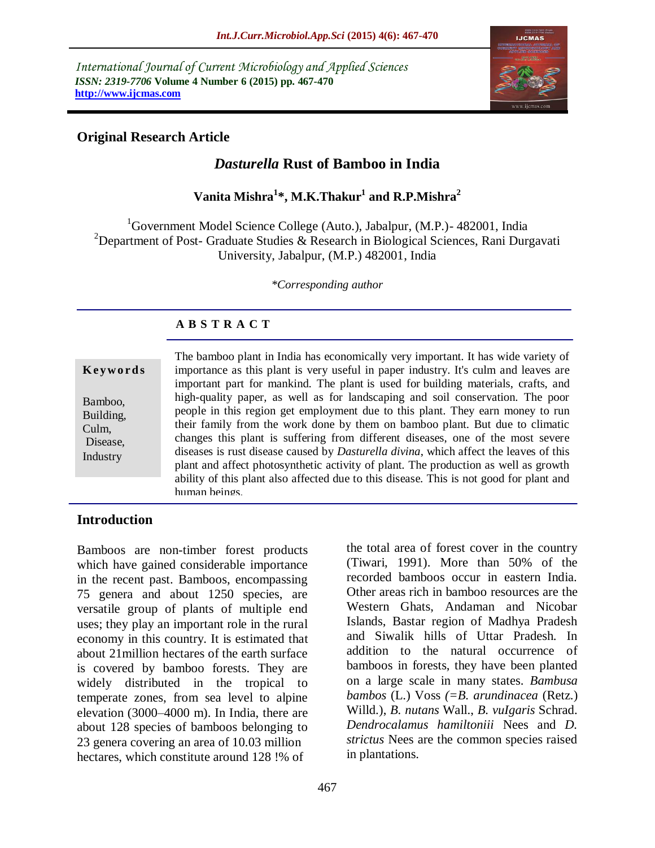*International Journal of Current Microbiology and Applied Sciences ISSN: 2319-7706* **Volume 4 Number 6 (2015) pp. 467-470 http://www.ijcmas.com** 



# **Original Research Article**

# *Dasturella* **Rust of Bamboo in India**

**Vanita Mishra<sup>1</sup> \*, M.K.Thakur<sup>1</sup> and R.P.Mishra<sup>2</sup>**

 ${}^{1}$ Government Model Science College (Auto.), Jabalpur, (M.P.) - 482001, India <sup>2</sup>Department of Post- Graduate Studies & Research in Biological Sciences, Rani Durgavati University, Jabalpur, (M.P.) 482001, India

*\*Corresponding author*

### **A B S T R A C T**

|           | The bamboo plant in India has economically very important. It has wide variety of             |
|-----------|-----------------------------------------------------------------------------------------------|
| Keywords  | importance as this plant is very useful in paper industry. It's culm and leaves are           |
|           | important part for mankind. The plant is used for building materials, crafts, and             |
| Bamboo,   | high-quality paper, as well as for landscaping and soil conservation. The poor                |
| Building, | people in this region get employment due to this plant. They earn money to run                |
| Culm,     | their family from the work done by them on bamboo plant. But due to climatic                  |
| Disease,  | changes this plant is suffering from different diseases, one of the most severe               |
| Industry  | diseases is rust disease caused by <i>Dasturella divina</i> , which affect the leaves of this |
|           | plant and affect photosynthetic activity of plant. The production as well as growth           |
|           | ability of this plant also affected due to this disease. This is not good for plant and       |
|           | human beings.                                                                                 |

### **Introduction**

Bamboos are non-timber forest products which have gained considerable importance in the recent past. Bamboos, encompassing 75 genera and about 1250 species, are versatile group of plants of multiple end uses; they play an important role in the rural economy in this country. It is estimated that about 21million hectares of the earth surface is covered by bamboo forests. They are widely distributed in the tropical to temperate zones, from sea level to alpine elevation (3000–4000 m). In India, there are about 128 species of bamboos belonging to 23 genera covering an area of 10.03 million hectares, which constitute around 128 !% of

the total area of forest cover in the country (Tiwari, 1991). More than 50% of the recorded bamboos occur in eastern India. Other areas rich in bamboo resources are the Western Ghats, Andaman and Nicobar Islands, Bastar region of Madhya Pradesh and Siwalik hills of Uttar Pradesh. In addition to the natural occurrence of bamboos in forests, they have been planted on a large scale in many states. *Bambusa bambos* (L.) Voss *(=B. arundinacea* (Retz.) Willd.), *B. nutans* Wall., *B. vuIgaris* Schrad. *Dendrocalamus hamiltoniii* Nees and *D. strictus* Nees are the common species raised in plantations.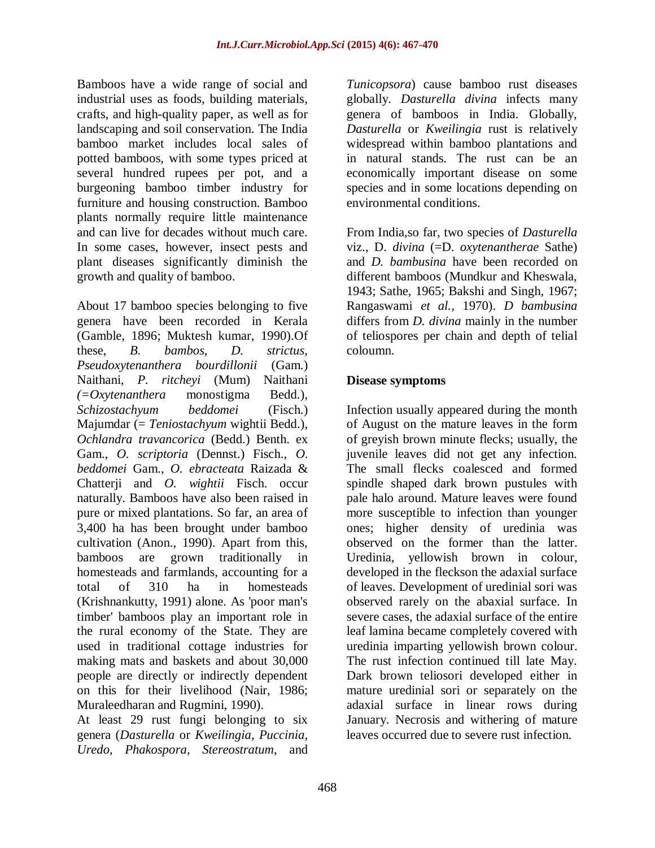Bamboos have a wide range of social and industrial uses as foods, building materials, crafts, and high-quality paper, as well as for landscaping and soil conservation. The India bamboo market includes local sales of potted bamboos, with some types priced at several hundred rupees per pot, and a burgeoning bamboo timber industry for furniture and housing construction. Bamboo plants normally require little maintenance and can live for decades without much care. In some cases, however, insect pests and plant diseases significantly diminish the growth and quality of bamboo.

About 17 bamboo species belonging to five genera have been recorded in Kerala (Gamble, 1896; Muktesh kumar, 1990).Of these, *B. bambos, D. strictus*, *Pseudoxytenanthera bourdillonii* (Gam.) Naithani, *P. ritcheyi* (Mum) Naithani *(=Oxytenanthera* monostigma Bedd.), *Schizostachyum beddomei* (Fisch.) Majumdar (= *Teniostachyum* wightii Bedd.), *Ochlandra travancorica* (Bedd.) Benth. ex Gam., *O. scriptoria* (Dennst.) Fisch., *O. beddomei* Gam., *O. ebracteata* Raizada & Chatterji and *O. wightii* Fisch. occur naturally. Bamboos have also been raised in pure or mixed plantations. So far, an area of 3,400 ha has been brought under bamboo cultivation (Anon., 1990). Apart from this, bamboos are grown traditionally homesteads and farmlands, accounting for a total of 310 ha in homesteads (Krishnankutty, 1991) alone. As 'poor man's timber' bamboos play an important role in the rural economy of the State. They are used in traditional cottage industries for making mats and baskets and about 30,000 people are directly or indirectly dependent on this for their livelihood (Nair, 1986; Muraleedharan and Rugmini, 1990).

At least 29 rust fungi belonging to six genera (*Dasturella* or *Kweilingia, Puccinia, Uredo, Phakospora*, *Stereostratum*, and

*Tunicopsora*) cause bamboo rust diseases globally. *Dasturella divina* infects many genera of bamboos in India. Globally, *Dasturella* or *Kweilingia* rust is relatively widespread within bamboo plantations and in natural stands. The rust can be an economically important disease on some species and in some locations depending on environmental conditions.

From India,so far, two species of *Dasturella*  viz., D. *divina* (=D. *oxytenantherae* Sathe) and *D. bambusina* have been recorded on different bamboos (Mundkur and Kheswala, 1943; Sathe, 1965; Bakshi and Singh, 1967; Rangaswami *et al.,* 1970). *D bambusina* differs from *D. divina* mainly in the number of teliospores per chain and depth of telial coloumn.

# **Disease symptoms**

Infection usually appeared during the month of August on the mature leaves in the form of greyish brown minute flecks; usually, the juvenile leaves did not get any infection. The small flecks coalesced and formed spindle shaped dark brown pustules with pale halo around. Mature leaves were found more susceptible to infection than younger ones; higher density of uredinia was observed on the former than the latter. Uredinia, yellowish brown in colour, developed in the fleckson the adaxial surface of leaves. Development of uredinial sori was observed rarely on the abaxial surface. In severe cases, the adaxial surface of the entire leaf lamina became completely covered with uredinia imparting yellowish brown colour. The rust infection continued till late May. Dark brown teliosori developed either in mature uredinial sori or separately on the adaxial surface in linear rows during January. Necrosis and withering of mature leaves occurred due to severe rust infection.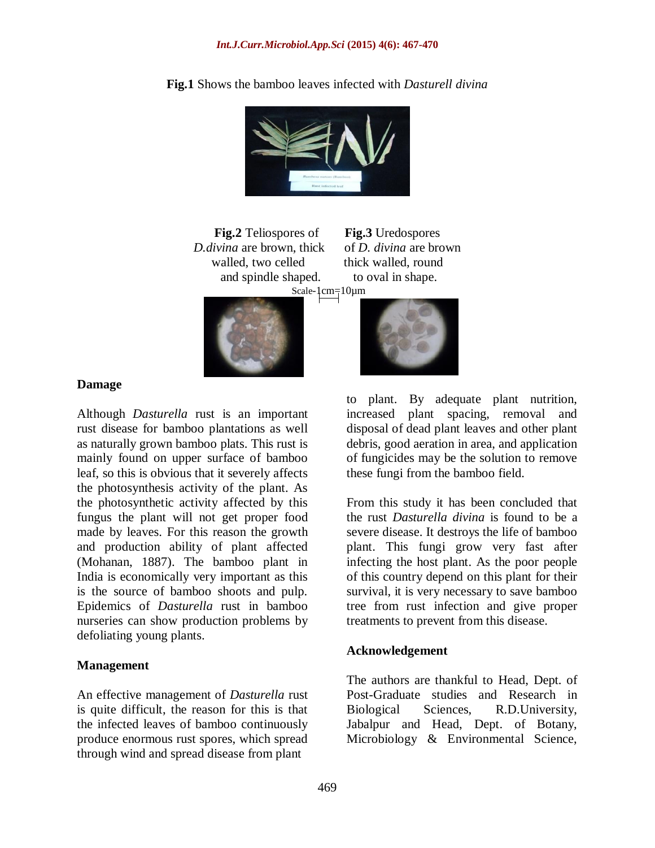

**Fig.1** Shows the bamboo leaves infected with *Dasturell divina*

**Fig.2** Teliospores of **Fig.3** Uredospores *D.divina* are brown, thick of *D. divina* are brown walled, two celled thick walled, round and spindle shaped. to oval in shape. Scale-1cm=10µm





#### **Damage**

Although *Dasturella* rust is an important rust disease for bamboo plantations as well as naturally grown bamboo plats. This rust is mainly found on upper surface of bamboo leaf, so this is obvious that it severely affects the photosynthesis activity of the plant. As the photosynthetic activity affected by this fungus the plant will not get proper food made by leaves. For this reason the growth and production ability of plant affected (Mohanan, 1887). The bamboo plant in India is economically very important as this is the source of bamboo shoots and pulp. Epidemics of *Dasturella* rust in bamboo nurseries can show production problems by defoliating young plants.

#### **Management**

An effective management of *Dasturella* rust is quite difficult, the reason for this is that the infected leaves of bamboo continuously produce enormous rust spores, which spread through wind and spread disease from plant

to plant. By adequate plant nutrition, increased plant spacing, removal and disposal of dead plant leaves and other plant debris, good aeration in area, and application of fungicides may be the solution to remove these fungi from the bamboo field.

From this study it has been concluded that the rust *Dasturella divina* is found to be a severe disease. It destroys the life of bamboo plant. This fungi grow very fast after infecting the host plant. As the poor people of this country depend on this plant for their survival, it is very necessary to save bamboo tree from rust infection and give proper treatments to prevent from this disease.

#### **Acknowledgement**

The authors are thankful to Head, Dept. of Post-Graduate studies and Research in Biological Sciences, R.D.University, Jabalpur and Head, Dept. of Botany, Microbiology & Environmental Science,